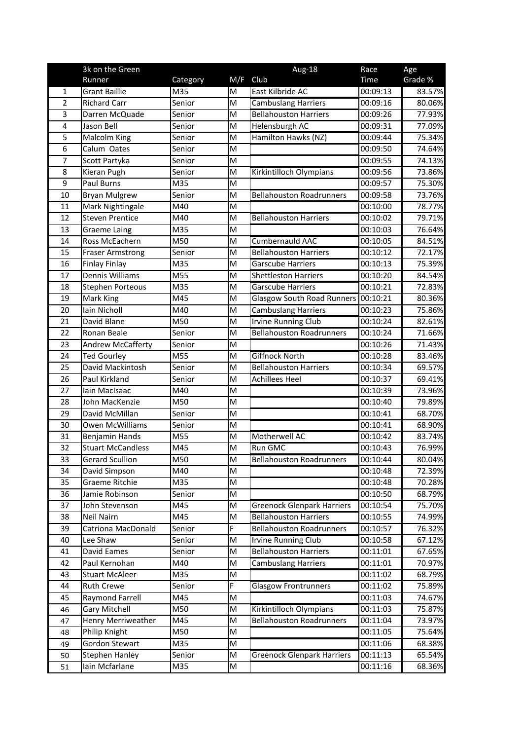|                | 3k on the Green          |          |                                                                                       | Aug-18                            | Race        | Age     |
|----------------|--------------------------|----------|---------------------------------------------------------------------------------------|-----------------------------------|-------------|---------|
|                | Runner                   | Category | M/F                                                                                   | Club                              | <b>Time</b> | Grade % |
| 1              | <b>Grant Baillie</b>     | M35      | M                                                                                     | East Kilbride AC                  | 00:09:13    | 83.57%  |
| 2              | <b>Richard Carr</b>      | Senior   | M                                                                                     | <b>Cambuslang Harriers</b>        | 00:09:16    | 80.06%  |
| 3              | Darren McQuade           | Senior   | M                                                                                     | <b>Bellahouston Harriers</b>      | 00:09:26    | 77.93%  |
| $\overline{4}$ | Jason Bell               | Senior   | M                                                                                     | <b>Helensburgh AC</b>             | 00:09:31    | 77.09%  |
| 5              | Malcolm King             | Senior   | M                                                                                     | Hamilton Hawks (NZ)               | 00:09:44    | 75.34%  |
| 6              | Calum Oates              | Senior   | M                                                                                     |                                   | 00:09:50    | 74.64%  |
| 7              | Scott Partyka            | Senior   | M                                                                                     |                                   | 00:09:55    | 74.13%  |
| 8              | Kieran Pugh              | Senior   | M                                                                                     | Kirkintilloch Olympians           | 00:09:56    | 73.86%  |
| 9              | <b>Paul Burns</b>        | M35      | M                                                                                     |                                   | 00:09:57    | 75.30%  |
| 10             | <b>Bryan Mulgrew</b>     | Senior   | M                                                                                     | <b>Bellahouston Roadrunners</b>   | 00:09:58    | 73.76%  |
| 11             | Mark Nightingale         | M40      | M                                                                                     |                                   | 00:10:00    | 78.77%  |
| 12             | <b>Steven Prentice</b>   | M40      | M                                                                                     | <b>Bellahouston Harriers</b>      | 00:10:02    | 79.71%  |
| 13             | <b>Graeme Laing</b>      | M35      | M                                                                                     |                                   | 00:10:03    | 76.64%  |
| 14             | Ross McEachern           | M50      | M                                                                                     | Cumbernauld AAC                   | 00:10:05    | 84.51%  |
| 15             | <b>Fraser Armstrong</b>  | Senior   | M                                                                                     | <b>Bellahouston Harriers</b>      | 00:10:12    | 72.17%  |
| 16             | <b>Finlay Finlay</b>     | M35      | M                                                                                     | <b>Garscube Harriers</b>          | 00:10:13    | 75.39%  |
| 17             | Dennis Williams          | M55      | M                                                                                     | <b>Shettleston Harriers</b>       | 00:10:20    | 84.54%  |
| 18             | <b>Stephen Porteous</b>  | M35      | M                                                                                     | <b>Garscube Harriers</b>          | 00:10:21    | 72.83%  |
| 19             | Mark King                | M45      | M                                                                                     | <b>Glasgow South Road Runners</b> | 00:10:21    | 80.36%  |
| 20             | Iain Nicholl             | M40      | M                                                                                     | <b>Cambuslang Harriers</b>        | 00:10:23    | 75.86%  |
| 21             | David Blane              | M50      | M                                                                                     | <b>Irvine Running Club</b>        | 00:10:24    | 82.61%  |
| 22             | Ronan Beale              | Senior   | M                                                                                     | <b>Bellahouston Roadrunners</b>   | 00:10:24    | 71.66%  |
| 23             | Andrew McCafferty        | Senior   | M                                                                                     |                                   | 00:10:26    | 71.43%  |
| 24             | <b>Ted Gourley</b>       | M55      | M                                                                                     | <b>Giffnock North</b>             | 00:10:28    | 83.46%  |
| 25             | David Mackintosh         | Senior   | M                                                                                     | <b>Bellahouston Harriers</b>      | 00:10:34    | 69.57%  |
| 26             | Paul Kirkland            | Senior   | M                                                                                     | <b>Achillees Heel</b>             | 00:10:37    | 69.41%  |
| 27             | lain MacIsaac            | M40      | M                                                                                     |                                   | 00:10:39    | 73.96%  |
| 28             | John MacKenzie           | M50      | M                                                                                     |                                   | 00:10:40    | 79.89%  |
| 29             | David McMillan           | Senior   | M                                                                                     |                                   | 00:10:41    | 68.70%  |
| 30             | <b>Owen McWilliams</b>   | Senior   | M                                                                                     |                                   | 00:10:41    | 68.90%  |
| 31             | <b>Benjamin Hands</b>    | M55      | M                                                                                     | Motherwell AC                     | 00:10:42    | 83.74%  |
| 32             | <b>Stuart McCandless</b> | M45      | M                                                                                     | Run GMC                           | 00:10:43    | 76.99%  |
| 33             | Gerard Scullion          | M50      | M                                                                                     | <b>Bellahouston Roadrunners</b>   | 00:10:44    | 80.04%  |
| 34             | David Simpson            | M40      | M                                                                                     |                                   | 00:10:48    | 72.39%  |
| 35             | Graeme Ritchie           | M35      | ${\sf M}$                                                                             |                                   | 00:10:48    | 70.28%  |
| 36             | Jamie Robinson           | Senior   | $\mathsf{M}% _{T}=\mathsf{M}_{T}\!\left( a,b\right) ,\ \mathsf{M}_{T}=\mathsf{M}_{T}$ |                                   | 00:10:50    | 68.79%  |
| 37             | John Stevenson           | M45      | M                                                                                     | <b>Greenock Glenpark Harriers</b> | 00:10:54    | 75.70%  |
| 38             | Neil Nairn               | M45      | M                                                                                     | <b>Bellahouston Harriers</b>      | 00:10:55    | 74.99%  |
| 39             | Catriona MacDonald       | Senior   | F                                                                                     | <b>Bellahouston Roadrunners</b>   | 00:10:57    | 76.32%  |
| 40             | Lee Shaw                 | Senior   | M                                                                                     | <b>Irvine Running Club</b>        | 00:10:58    | 67.12%  |
| 41             | David Eames              | Senior   | M                                                                                     | <b>Bellahouston Harriers</b>      | 00:11:01    | 67.65%  |
| 42             | Paul Kernohan            | M40      | M                                                                                     | <b>Cambuslang Harriers</b>        | 00:11:01    | 70.97%  |
| 43             | <b>Stuart McAleer</b>    | M35      | ${\sf M}$                                                                             |                                   | 00:11:02    | 68.79%  |
| 44             | <b>Ruth Crewe</b>        | Senior   | F                                                                                     | <b>Glasgow Frontrunners</b>       | 00:11:02    | 75.89%  |
| 45             | Raymond Farrell          | M45      | M                                                                                     |                                   | 00:11:03    | 74.67%  |
| 46             | <b>Gary Mitchell</b>     | M50      | M                                                                                     | Kirkintilloch Olympians           | 00:11:03    | 75.87%  |
| 47             | Henry Merriweather       | M45      | M                                                                                     | <b>Bellahouston Roadrunners</b>   | 00:11:04    | 73.97%  |
| 48             | Philip Knight            | M50      | M                                                                                     |                                   | 00:11:05    | 75.64%  |
| 49             | Gordon Stewart           | M35      | ${\sf M}$                                                                             |                                   | 00:11:06    | 68.38%  |
| 50             | Stephen Hanley           | Senior   | ${\sf M}$                                                                             | <b>Greenock Glenpark Harriers</b> | 00:11:13    | 65.54%  |
| 51             | Iain Mcfarlane           | M35      | M                                                                                     |                                   | 00:11:16    | 68.36%  |
|                |                          |          |                                                                                       |                                   |             |         |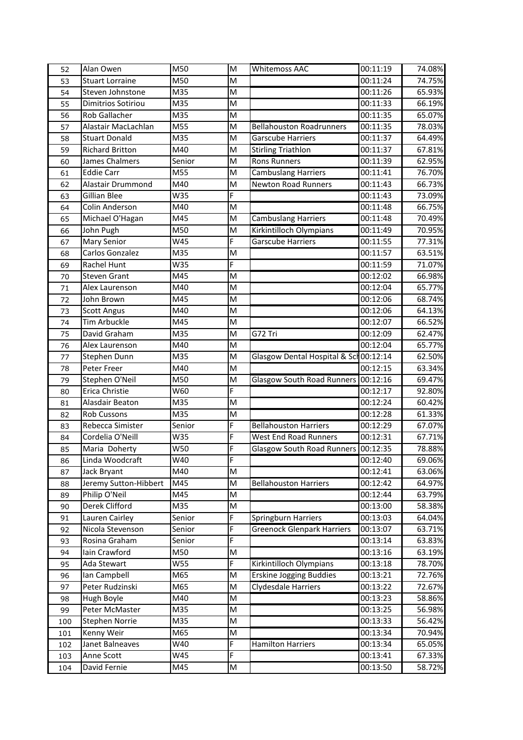| 52  | Alan Owen              | M50    | M | <b>Whitemoss AAC</b>                  | 00:11:19 | 74.08% |
|-----|------------------------|--------|---|---------------------------------------|----------|--------|
| 53  | <b>Stuart Lorraine</b> | M50    | M |                                       | 00:11:24 | 74.75% |
| 54  | Steven Johnstone       | M35    | M |                                       | 00:11:26 | 65.93% |
| 55  | Dimitrios Sotiriou     | M35    | M |                                       | 00:11:33 | 66.19% |
| 56  | <b>Rob Gallacher</b>   | M35    | M |                                       | 00:11:35 | 65.07% |
| 57  | Alastair MacLachlan    | M55    | M | <b>Bellahouston Roadrunners</b>       | 00:11:35 | 78.03% |
| 58  | <b>Stuart Donald</b>   | M35    | M | <b>Garscube Harriers</b>              | 00:11:37 | 64.49% |
| 59  | <b>Richard Britton</b> | M40    | M | <b>Stirling Triathlon</b>             | 00:11:37 | 67.81% |
| 60  | James Chalmers         | Senior | M | <b>Rons Runners</b>                   | 00:11:39 | 62.95% |
| 61  | <b>Eddie Carr</b>      | M55    | M | <b>Cambuslang Harriers</b>            | 00:11:41 | 76.70% |
| 62  | Alastair Drummond      | M40    | M | <b>Newton Road Runners</b>            | 00:11:43 | 66.73% |
| 63  | Gillian Blee           | W35    | F |                                       | 00:11:43 | 73.09% |
| 64  | Colin Anderson         | M40    | M |                                       | 00:11:48 | 66.75% |
| 65  | Michael O'Hagan        | M45    | M | <b>Cambuslang Harriers</b>            | 00:11:48 | 70.49% |
| 66  | John Pugh              | M50    | M | Kirkintilloch Olympians               | 00:11:49 | 70.95% |
| 67  | Mary Senior            | W45    | F | <b>Garscube Harriers</b>              | 00:11:55 | 77.31% |
| 68  | Carlos Gonzalez        | M35    | M |                                       | 00:11:57 | 63.51% |
| 69  | Rachel Hunt            | W35    | F |                                       | 00:11:59 | 71.07% |
| 70  | <b>Steven Grant</b>    | M45    | M |                                       | 00:12:02 | 66.98% |
| 71  | Alex Laurenson         | M40    | M |                                       | 00:12:04 | 65.77% |
| 72  | John Brown             | M45    | M |                                       | 00:12:06 | 68.74% |
| 73  | <b>Scott Angus</b>     | M40    | M |                                       | 00:12:06 | 64.13% |
| 74  | Tim Arbuckle           | M45    | M |                                       | 00:12:07 | 66.52% |
| 75  | David Graham           | M35    | M | G72 Tri                               | 00:12:09 | 62.47% |
| 76  | Alex Laurenson         | M40    | M |                                       | 00:12:04 | 65.77% |
| 77  | Stephen Dunn           | M35    | M | Glasgow Dental Hospital & Sch00:12:14 |          | 62.50% |
| 78  | Peter Freer            | M40    | M |                                       | 00:12:15 | 63.34% |
| 79  | Stephen O'Neil         | M50    | M | <b>Glasgow South Road Runners</b>     | 00:12:16 | 69.47% |
| 80  | Erica Christie         | W60    | F |                                       | 00:12:17 | 92.80% |
| 81  | Alasdair Beaton        | M35    | M |                                       | 00:12:24 | 60.42% |
| 82  | <b>Rob Cussons</b>     | M35    | M |                                       | 00:12:28 | 61.33% |
| 83  | Rebecca Simister       | Senior | F | <b>Bellahouston Harriers</b>          | 00:12:29 | 67.07% |
| 84  | Cordelia O'Neill       | W35    | F | <b>West End Road Runners</b>          | 00:12:31 | 67.71% |
| 85  | Maria Doherty          | W50    | F | <b>Glasgow South Road Runners</b>     | 00:12:35 | 78.88% |
| 86  | Linda Woodcraft        | W40    | F |                                       | 00:12:40 | 69.06% |
| 87  | Jack Bryant            | M40    | M |                                       | 00:12:41 | 63.06% |
| 88  | Jeremy Sutton-Hibbert  | M45    | M | <b>Bellahouston Harriers</b>          | 00:12:42 | 64.97% |
| 89  | Philip O'Neil          | M45    | M |                                       | 00:12:44 | 63.79% |
| 90  | Derek Clifford         | M35    | M |                                       | 00:13:00 | 58.38% |
| 91  | Lauren Cairley         | Senior | F | <b>Springburn Harriers</b>            | 00:13:03 | 64.04% |
| 92  | Nicola Stevenson       | Senior | F | <b>Greenock Glenpark Harriers</b>     | 00:13:07 | 63.71% |
| 93  | Rosina Graham          | Senior | F |                                       | 00:13:14 | 63.83% |
| 94  | Iain Crawford          | M50    | M |                                       | 00:13:16 | 63.19% |
| 95  | Ada Stewart            | W55    | F | Kirkintilloch Olympians               | 00:13:18 | 78.70% |
| 96  | lan Campbell           | M65    | M | <b>Erskine Jogging Buddies</b>        | 00:13:21 | 72.76% |
| 97  | Peter Rudzinski        | M65    | M | Clydesdale Harriers                   | 00:13:22 | 72.67% |
| 98  | Hugh Boyle             | M40    | M |                                       | 00:13:23 | 58.86% |
| 99  | Peter McMaster         | M35    | M |                                       | 00:13:25 | 56.98% |
| 100 | Stephen Norrie         | M35    | M |                                       | 00:13:33 | 56.42% |
| 101 | Kenny Weir             | M65    | M |                                       | 00:13:34 | 70.94% |
| 102 | Janet Balneaves        | W40    | F | <b>Hamilton Harriers</b>              | 00:13:34 | 65.05% |
| 103 | Anne Scott             | W45    | F |                                       | 00:13:41 | 67.33% |
| 104 | David Fernie           | M45    | M |                                       | 00:13:50 | 58.72% |